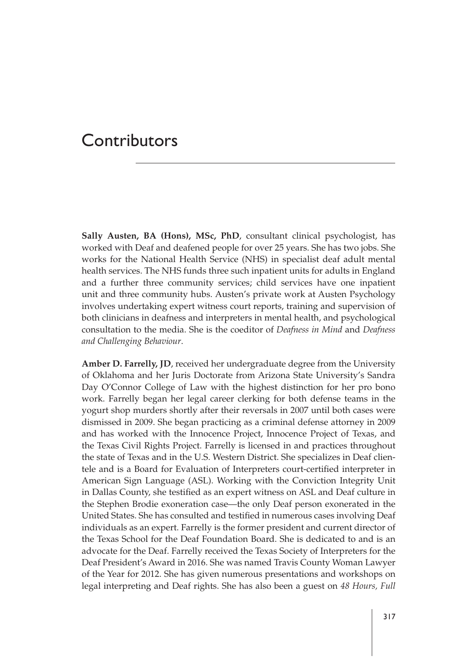**Sally Austen, BA (Hons), MSc, PhD**, consultant clinical psychologist, has worked with Deaf and deafened people for over 25 years. She has two jobs. She works for the National Health Service (NHS) in specialist deaf adult mental health services. The NHS funds three such inpatient units for adults in England and a further three community services; child services have one inpatient unit and three community hubs. Austen's private work at Austen Psychology involves undertaking expert witness court reports, training and supervision of both clinicians in deafness and interpreters in mental health, and psychological consultation to the media. She is the coeditor of *Deafness in Mind* and *Deafness and Challenging Behaviour*.

**Amber D. Farrelly, JD**, received her undergraduate degree from the University of Oklahoma and her Juris Doctorate from Arizona State University's Sandra Day O'Connor College of Law with the highest distinction for her pro bono work. Farrelly began her legal career clerking for both defense teams in the yogurt shop murders shortly after their reversals in 2007 until both cases were dismissed in 2009. She began practicing as a criminal defense attorney in 2009 and has worked with the Innocence Project, Innocence Project of Texas, and the Texas Civil Rights Project. Farrelly is licensed in and practices throughout the state of Texas and in the U.S. Western District. She specializes in Deaf clientele and is a Board for Evaluation of Interpreters court-certified interpreter in American Sign Language (ASL). Working with the Conviction Integrity Unit in Dallas County, she testified as an expert witness on ASL and Deaf culture in the Stephen Brodie exoneration case—the only Deaf person exonerated in the United States. She has consulted and testified in numerous cases involving Deaf individuals as an expert. Farrelly is the former president and current director of the Texas School for the Deaf Foundation Board. She is dedicated to and is an advocate for the Deaf. Farrelly received the Texas Society of Interpreters for the Deaf President's Award in 2016. She was named Travis County Woman Lawyer of the Year for 2012. She has given numerous presentations and workshops on legal interpreting and Deaf rights. She has also been a guest on *48 Hours, Full*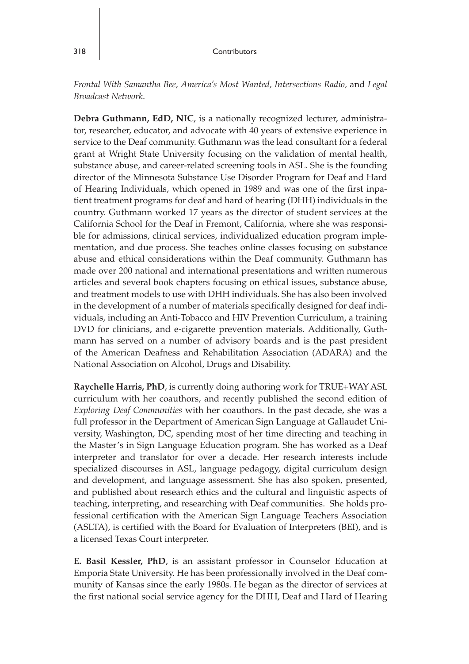*Frontal With Samantha Bee, America's Most Wanted, Intersections Radio,* and *Legal Broadcast Network*.

**Debra Guthmann, EdD, NIC**, is a nationally recognized lecturer, administrator, researcher, educator, and advocate with 40 years of extensive experience in service to the Deaf community. Guthmann was the lead consultant for a federal grant at Wright State University focusing on the validation of mental health, substance abuse, and career-related screening tools in ASL. She is the founding director of the Minnesota Substance Use Disorder Program for Deaf and Hard of Hearing Individuals, which opened in 1989 and was one of the first inpatient treatment programs for deaf and hard of hearing (DHH) individuals in the country. Guthmann worked 17 years as the director of student services at the California School for the Deaf in Fremont, California, where she was responsible for admissions, clinical services, individualized education program implementation, and due process. She teaches online classes focusing on substance abuse and ethical considerations within the Deaf community. Guthmann has made over 200 national and international presentations and written numerous articles and several book chapters focusing on ethical issues, substance abuse, and treatment models to use with DHH individuals. She has also been involved in the development of a number of materials specifically designed for deaf individuals, including an Anti-Tobacco and HIV Prevention Curriculum, a training DVD for clinicians, and e-cigarette prevention materials. Additionally, Guthmann has served on a number of advisory boards and is the past president of the American Deafness and Rehabilitation Association (ADARA) and the National Association on Alcohol, Drugs and Disability.

**Raychelle Harris, PhD**, is currently doing authoring work for TRUE+WAY ASL curriculum with her coauthors, and recently published the second edition of *Exploring Deaf Communities* with her coauthors. In the past decade, she was a full professor in the Department of American Sign Language at Gallaudet University, Washington, DC, spending most of her time directing and teaching in the Master's in Sign Language Education program. She has worked as a Deaf interpreter and translator for over a decade. Her research interests include specialized discourses in ASL, language pedagogy, digital curriculum design and development, and language assessment. She has also spoken, presented, and published about research ethics and the cultural and linguistic aspects of teaching, interpreting, and researching with Deaf communities. She holds professional certification with the American Sign Language Teachers Association (ASLTA), is certified with the Board for Evaluation of Interpreters (BEI), and is a licensed Texas Court interpreter.

**E. Basil Kessler, PhD**, is an assistant professor in Counselor Education at Emporia State University. He has been professionally involved in the Deaf community of Kansas since the early 1980s. He began as the director of services at the first national social service agency for the DHH, Deaf and Hard of Hearing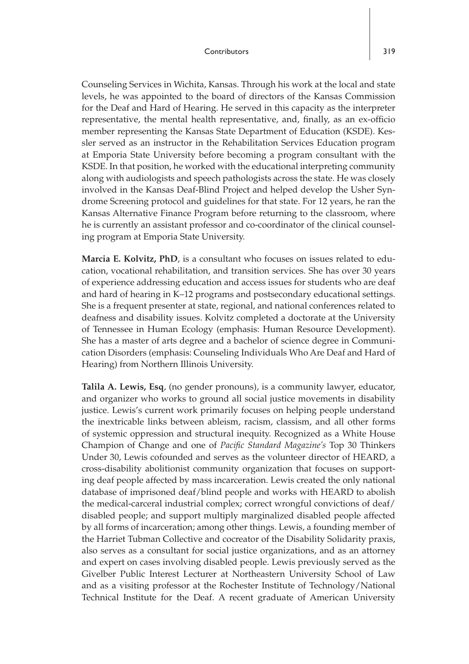Counseling Services in Wichita, Kansas. Through his work at the local and state levels, he was appointed to the board of directors of the Kansas Commission for the Deaf and Hard of Hearing. He served in this capacity as the interpreter representative, the mental health representative, and, finally, as an ex-officio member representing the Kansas State Department of Education (KSDE). Kessler served as an instructor in the Rehabilitation Services Education program at Emporia State University before becoming a program consultant with the KSDE. In that position, he worked with the educational interpreting community along with audiologists and speech pathologists across the state. He was closely involved in the Kansas Deaf-Blind Project and helped develop the Usher Syndrome Screening protocol and guidelines for that state. For 12 years, he ran the Kansas Alternative Finance Program before returning to the classroom, where he is currently an assistant professor and co-coordinator of the clinical counseling program at Emporia State University.

**Marcia E. Kolvitz, PhD**, is a consultant who focuses on issues related to education, vocational rehabilitation, and transition services. She has over 30 years of experience addressing education and access issues for students who are deaf and hard of hearing in K–12 programs and postsecondary educational settings. She is a frequent presenter at state, regional, and national conferences related to deafness and disability issues. Kolvitz completed a doctorate at the University of Tennessee in Human Ecology (emphasis: Human Resource Development). She has a master of arts degree and a bachelor of science degree in Communication Disorders (emphasis: Counseling Individuals Who Are Deaf and Hard of Hearing) from Northern Illinois University.

**Talila A. Lewis, Esq**, (no gender pronouns), is a community lawyer, educator, and organizer who works to ground all social justice movements in disability justice. Lewis's current work primarily focuses on helping people understand the inextricable links between ableism, racism, classism, and all other forms of systemic oppression and structural inequity. Recognized as a White House Champion of Change and one of *Pacific Standard Magazine's* Top 30 Thinkers Under 30, Lewis cofounded and serves as the volunteer director of HEARD, a cross-disability abolitionist community organization that focuses on supporting deaf people affected by mass incarceration. Lewis created the only national database of imprisoned deaf/blind people and works with HEARD to abolish the medical-carceral industrial complex; correct wrongful convictions of deaf/ disabled people; and support multiply marginalized disabled people affected by all forms of incarceration; among other things. Lewis, a founding member of the Harriet Tubman Collective and cocreator of the Disability Solidarity praxis, also serves as a consultant for social justice organizations, and as an attorney and expert on cases involving disabled people. Lewis previously served as the Givelber Public Interest Lecturer at Northeastern University School of Law and as a visiting professor at the Rochester Institute of Technology/National Technical Institute for the Deaf. A recent graduate of American University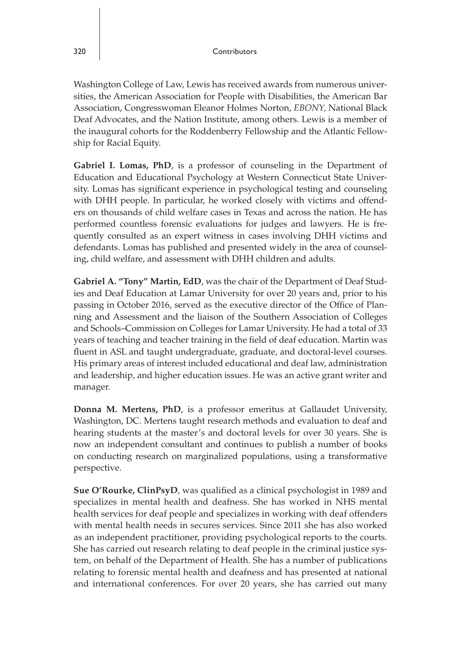Washington College of Law, Lewis has received awards from numerous universities, the American Association for People with Disabilities, the American Bar Association, Congresswoman Eleanor Holmes Norton, *EBONY,* National Black Deaf Advocates, and the Nation Institute, among others. Lewis is a member of the inaugural cohorts for the Roddenberry Fellowship and the Atlantic Fellowship for Racial Equity.

**Gabriel I. Lomas, PhD**, is a professor of counseling in the Department of Education and Educational Psychology at Western Connecticut State University. Lomas has significant experience in psychological testing and counseling with DHH people. In particular, he worked closely with victims and offenders on thousands of child welfare cases in Texas and across the nation. He has performed countless forensic evaluations for judges and lawyers. He is frequently consulted as an expert witness in cases involving DHH victims and defendants. Lomas has published and presented widely in the area of counseling, child welfare, and assessment with DHH children and adults.

**Gabriel A. "Tony" Martin, EdD**, was the chair of the Department of Deaf Studies and Deaf Education at Lamar University for over 20 years and, prior to his passing in October 2016, served as the executive director of the Office of Planning and Assessment and the liaison of the Southern Association of Colleges and Schools–Commission on Colleges for Lamar University. He had a total of 33 years of teaching and teacher training in the field of deaf education. Martin was fluent in ASL and taught undergraduate, graduate, and doctoral-level courses. His primary areas of interest included educational and deaf law, administration and leadership, and higher education issues. He was an active grant writer and manager.

**Donna M. Mertens, PhD**, is a professor emeritus at Gallaudet University, Washington, DC. Mertens taught research methods and evaluation to deaf and hearing students at the master's and doctoral levels for over 30 years. She is now an independent consultant and continues to publish a number of books on conducting research on marginalized populations, using a transformative perspective.

**Sue O'Rourke, ClinPsyD**, was qualified as a clinical psychologist in 1989 and specializes in mental health and deafness. She has worked in NHS mental health services for deaf people and specializes in working with deaf offenders with mental health needs in secures services. Since 2011 she has also worked as an independent practitioner, providing psychological reports to the courts. She has carried out research relating to deaf people in the criminal justice system, on behalf of the Department of Health. She has a number of publications relating to forensic mental health and deafness and has presented at national and international conferences. For over 20 years, she has carried out many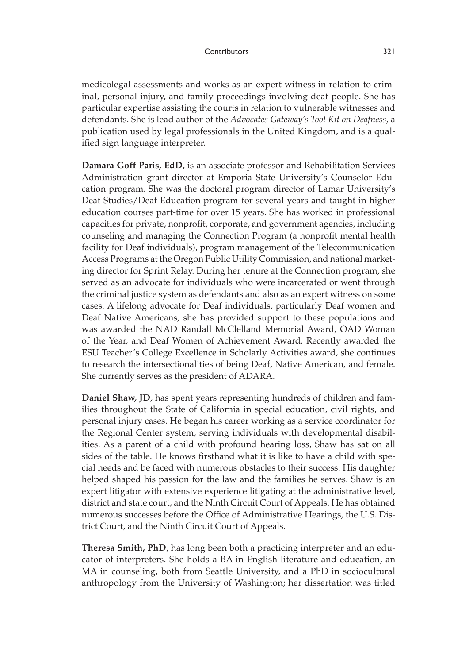medicolegal assessments and works as an expert witness in relation to criminal, personal injury, and family proceedings involving deaf people. She has particular expertise assisting the courts in relation to vulnerable witnesses and defendants. She is lead author of the *Advocates Gateway's Tool Kit on Deafness,* a publication used by legal professionals in the United Kingdom, and is a qualified sign language interpreter.

**Damara Goff Paris, EdD**, is an associate professor and Rehabilitation Services Administration grant director at Emporia State University's Counselor Education program. She was the doctoral program director of Lamar University's Deaf Studies/Deaf Education program for several years and taught in higher education courses part-time for over 15 years. She has worked in professional capacities for private, nonprofit, corporate, and government agencies, including counseling and managing the Connection Program (a nonprofit mental health facility for Deaf individuals), program management of the Telecommunication Access Programs at the Oregon Public Utility Commission, and national marketing director for Sprint Relay. During her tenure at the Connection program, she served as an advocate for individuals who were incarcerated or went through the criminal justice system as defendants and also as an expert witness on some cases. A lifelong advocate for Deaf individuals, particularly Deaf women and Deaf Native Americans, she has provided support to these populations and was awarded the NAD Randall McClelland Memorial Award, OAD Woman of the Year, and Deaf Women of Achievement Award. Recently awarded the ESU Teacher's College Excellence in Scholarly Activities award, she continues to research the intersectionalities of being Deaf, Native American, and female. She currently serves as the president of ADARA.

**Daniel Shaw, JD**, has spent years representing hundreds of children and families throughout the State of California in special education, civil rights, and personal injury cases. He began his career working as a service coordinator for the Regional Center system, serving individuals with developmental disabilities. As a parent of a child with profound hearing loss, Shaw has sat on all sides of the table. He knows firsthand what it is like to have a child with special needs and be faced with numerous obstacles to their success. His daughter helped shaped his passion for the law and the families he serves. Shaw is an expert litigator with extensive experience litigating at the administrative level, district and state court, and the Ninth Circuit Court of Appeals. He has obtained numerous successes before the Office of Administrative Hearings, the U.S. District Court, and the Ninth Circuit Court of Appeals.

**Theresa Smith, PhD**, has long been both a practicing interpreter and an educator of interpreters. She holds a BA in English literature and education, an MA in counseling, both from Seattle University, and a PhD in sociocultural anthropology from the University of Washington; her dissertation was titled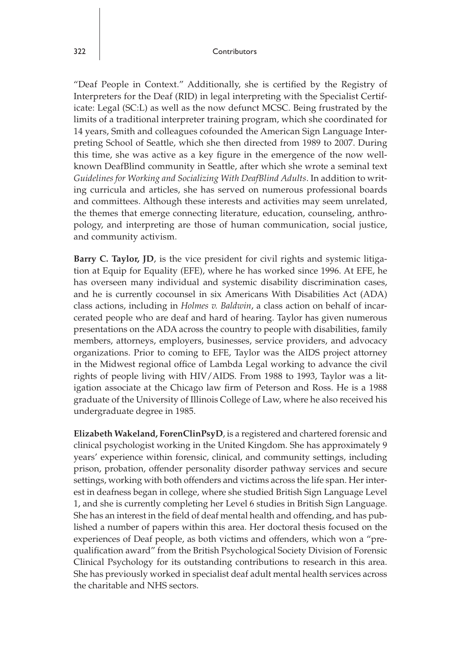"Deaf People in Context." Additionally, she is certified by the Registry of Interpreters for the Deaf (RID) in legal interpreting with the Specialist Certificate: Legal (SC:L) as well as the now defunct MCSC. Being frustrated by the limits of a traditional interpreter training program, which she coordinated for 14 years, Smith and colleagues cofounded the American Sign Language Interpreting School of Seattle, which she then directed from 1989 to 2007. During this time, she was active as a key figure in the emergence of the now wellknown DeafBlind community in Seattle, after which she wrote a seminal text *Guidelines for Working and Socializing With DeafBlind Adults*. In addition to writing curricula and articles, she has served on numerous professional boards and committees. Although these interests and activities may seem unrelated, the themes that emerge connecting literature, education, counseling, anthropology, and interpreting are those of human communication, social justice, and community activism.

**Barry C. Taylor, JD**, is the vice president for civil rights and systemic litigation at Equip for Equality (EFE), where he has worked since 1996. At EFE, he has overseen many individual and systemic disability discrimination cases, and he is currently cocounsel in six Americans With Disabilities Act (ADA) class actions, including in *Holmes v. Baldwin*, a class action on behalf of incarcerated people who are deaf and hard of hearing. Taylor has given numerous presentations on the ADA across the country to people with disabilities, family members, attorneys, employers, businesses, service providers, and advocacy organizations. Prior to coming to EFE, Taylor was the AIDS project attorney in the Midwest regional office of Lambda Legal working to advance the civil rights of people living with HIV/AIDS. From 1988 to 1993, Taylor was a litigation associate at the Chicago law firm of Peterson and Ross. He is a 1988 graduate of the University of Illinois College of Law, where he also received his undergraduate degree in 1985.

**Elizabeth Wakeland, ForenClinPsyD**, is a registered and chartered forensic and clinical psychologist working in the United Kingdom. She has approximately 9 years' experience within forensic, clinical, and community settings, including prison, probation, offender personality disorder pathway services and secure settings, working with both offenders and victims across the life span. Her interest in deafness began in college, where she studied British Sign Language Level 1, and she is currently completing her Level 6 studies in British Sign Language. She has an interest in the field of deaf mental health and offending, and has published a number of papers within this area. Her doctoral thesis focused on the experiences of Deaf people, as both victims and offenders, which won a "prequalification award" from the British Psychological Society Division of Forensic Clinical Psychology for its outstanding contributions to research in this area. She has previously worked in specialist deaf adult mental health services across the charitable and NHS sectors.